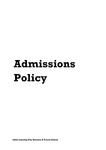# **Admissions Policy**

**Little Lancing Day Nursery & Forest School**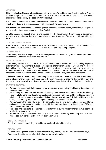# **GENERAL**

Little Lancing Day Nursery & Forest School offers day care for children aged from 2 months to 5 years 51 weeks a year. Our annual Christmas closure is from Christmas Eve at 1pm until 31 December inclusive and the nursery is closed on Bank Holidays.

It is our intention to make our nursery accessible to children and families from the local area and it is widely advertised in places accessible to all sections of the community.

We welcome children regardless of their gender, special educational needs, disabilities, background, religion, ethnicity or competence in spoken English.

At Little Lancing we accept, promote and engage with the fundamental British values of democracy, the rule of law, individual liberty and mutual respect and tolerance of those with different faiths and beliefs.

# **VISITING THE NURSERY**

Parents are encouraged to arrange a personal visit during a normal day to find out what Little Lancing has to offer. There may be opportunities to visit at an Open Day during the year.

### **ADMISSIONS**

The Nursery Manager is responsible for recruiting children to Little Lancing and for ensuring a smooth entry to the Nursery for all children and parents.

# **POINTS OF ENTRY**

The Nursery has three rooms – Explorers, Investigators and Pre-School. Broadly speaking, Explorers is for children aged 3 months to 2 years, Investigators is for children aged 2 to 3 years and Pre-School is for children aged 3+ years. Occasionally the transition from one room to another may be flexible, to meet the needs of children. This will always follow consultation with parents/carers to ensure a smooth transition to the next room. Please see our Transitions Policy for further information.

Admission may take place at any time during the year, provided a place is available. Funded hours are available, where eligible, for 3-year-olds in the term immediately following their third birthday and funded hours, where eligible, for 2-year-olds are available immediately following their second birthday.

### **ENTRY PROCESS**

- Parents may make an initial enquiry via our website or by contacting the Nursery direct to make an appointment to visit.
- After visiting the Nursery and parents discussing their session requirements with the Nursery Manager, Little Lancing will confirm availability. Spaces are given on a first booked basis, however, priority is given for parents requesting full-time places (over 30 hours). Priority will be made for siblings who already attend the setting and Lancing college staff children.
- Parents/Carers then apply for a place by completing and signing our enrolment form and terms and conditions forms and submitting these with the non-refundable administration fee of £50 and refundable deposit of £200.
- The place and start date is confirmed to Parents/Carers by the Nursery Manager. We operate a waitlist if no space is available.
- Parent/Carers are asked to book 3 settling in visit for their child shortly before they are due to start. Please see our Transitions Policy for further information.

# **SIBLING POLICY**

Priority will be made for siblings of children who already attend the setting.

# **DISCOUNTS**

We offer a sibling discount and a discount for five-day bookings for standard or extended days. Please see the Little Lancing Fee Schedule for further information.

### **Little Lancing Day Nursery & Forest School** 20/04/2022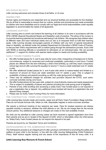# **RELIGIOUS BELIEFS**

Little Lancing welcomes and includes those of all faiths, or of none.

### **DISABILITIES**

Human rights and freedoms are respected and our physical facilities are accessible for the disabled. We do all that is reasonable to ensure that our culture, policies and procedures are made accessible to children who have disabilities and to comply with our legal and moral responsibilities under equality legislation to accommodate the needs of all applicants.

# **LEARNING SUPPORT**

Little Lancing aims to enrich and extend the learning of all children in its care in accordance with the DFE's SEND (Special Educational Needs and Disability) code of practice. The ethos of the nursery is to promote learning potential and emotional well-being in all children. We recognise that children learn at different rates and have individual needs and our aim is to empower them to fulfil their learning goals. Little Lancing strongly encourages parents of children with any form of special educational need or disability, as defined under the updated Department for Education's SEND Code of Practice, to discuss their child's requirements with us before going through the admissions process. Each child with SEND or learning difficulty is considered for admission on an individual basis. We can provide additional 1:1 support for children with special needs subject to needs and funding availability.

# **EARLY YEARS FUNDED PLACES**

- We offer funded places for 3- and 4-year-olds for every child, irrespective of background or family circumstances, subject to vacancies and confirmed availability, particularly in core hours. Funded places are offered from the term following a child's third birthday up until they reach compulsory school age and at Little Lancing this equates to around 11 hours a week extended over 51 weeks a year.
- We offer additional funded places for 3- and 4-year-olds which is means-tested and limited to a maximum of around 22 hours per week extended over 51 weeks a year. This is subject to availability of places and parents providing us with the code giving proof of eligibility.
- There may be additional charges for activities and provision beyond the EYFS, such extracurricular activities during core hours.
- We offer funded places for two-year-olds, subject to Local Authority means and needs assessment. This is subject to availability of places and parents providing the code giving proof of eligibility.
- Parents of any child enrolling and accessing a solely Early Year funded place is not required to pay a registration fee or deposit. Any additional hours booked will result in a registration fee and deposit being charged.
- Please see our Early Years Funding Policy for more information.

### **THE CONTRACTUAL TERMS AND CONDITIONS**

Little Lancing fees include meals and snacks, wipes and all Early Years Foundation Stage activities. Fees do not include formula milk, follow on milk, disposable nappies or extra-curricular activities.

We require a minimum booking of two sessions per week. Fees for booked sessions are always payable monthly in advance, whether the child attends or not. We do not charge fees for the annual closure period. Any additional sessions or charges are made on the next available invoice.

No child can be admitted to Little Lancing unless we have received a signed registration form from their parents and we are in receipt of the deposit of £200, which is refundable when the child leaves us. Solely Early Years funded places do not require the deposit to be paid.

Parents are bound by our Standard Terms and Conditions.

### **SAFEGUARDING IN THE ADMISSIONS PROCESS**

The Admissions process is an integral part of Little Lancing's commitment to promoting the safety and welfare of every child in the Nursery, in line with the Little Lancing Safeguarding (Child Protection) Policy. Staff receive regular training and are aware of the importance of this for every child. It is

# **Little Lancing Day Nursery & Forest School** 20/04/2022